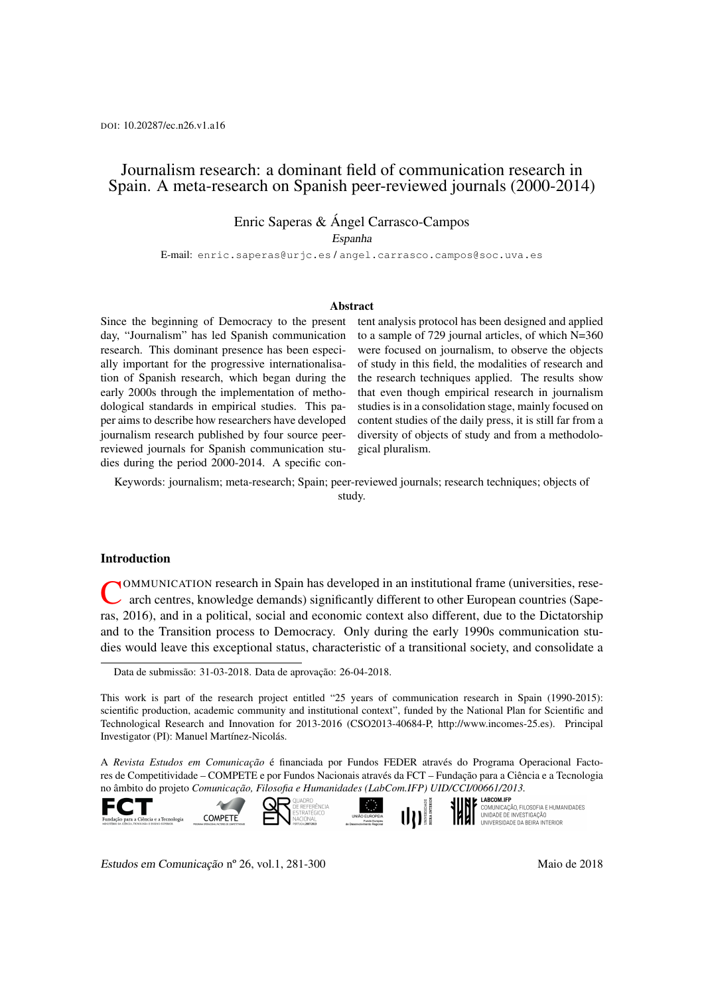# Journalism research: a dominant field of communication research in Spain. A meta-research on Spanish peer-reviewed journals (2000-2014)

## Enric Saperas & Ángel Carrasco-Campos

Espanha

E-mail: enric.saperas@urjc.es / angel.carrasco.campos@soc.uva.es

#### **Abstract**

Since the beginning of Democracy to the present day, "Journalism" has led Spanish communication research. This dominant presence has been especially important for the progressive internationalisation of Spanish research, which began during the early 2000s through the implementation of methodological standards in empirical studies. This paper aims to describe how researchers have developed journalism research published by four source peerreviewed journals for Spanish communication studies during the period 2000-2014. A specific content analysis protocol has been designed and applied to a sample of 729 journal articles, of which N=360 were focused on journalism, to observe the objects of study in this field, the modalities of research and the research techniques applied. The results show that even though empirical research in journalism studies is in a consolidation stage, mainly focused on content studies of the daily press, it is still far from a diversity of objects of study and from a methodological pluralism.

Keywords: journalism; meta-research; Spain; peer-reviewed journals; research techniques; objects of study.

#### Introduction

COMMUNICATION research in Spain has developed in an institutional frame (universities, rese-<br>arch centres, knowledge demands) significantly different to other European countries (Sape-OMMUNICATION research in Spain has developed in an institutional frame (universities, reseras, 2016), and in a political, social and economic context also different, due to the Dictatorship and to the Transition process to Democracy. Only during the early 1990s communication studies would leave this exceptional status, characteristic of a transitional society, and consolidate a

A *Revista Estudos em Comunicação* é financiada por Fundos FEDER através do Programa Operacional Factores de Competitividade – COMPETE e por Fundos Nacionais através da FCT – Fundação para a Ciência e a Tecnologia





UNIVERSIDADE DA BEIRA INTERIOR

Estudos em Comunicação nº 26, vol.1, 281-300  $\mu$  Maio de 2018

Data de submissão: 31-03-2018. Data de aprovação: 26-04-2018.

This work is part of the research project entitled "25 years of communication research in Spain (1990-2015): scientific production, academic community and institutional context", funded by the National Plan for Scientific and Technological Research and Innovation for 2013-2016 (CSO2013-40684-P, http://www.incomes-25.es). Principal Investigator (PI): Manuel Martínez-Nicolás.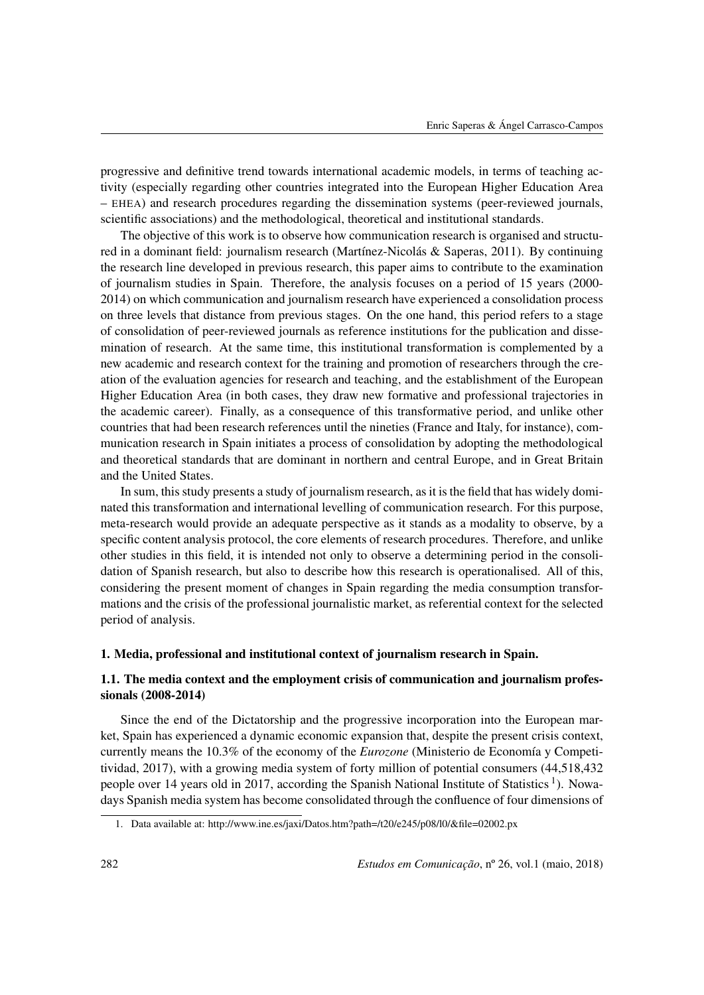progressive and definitive trend towards international academic models, in terms of teaching activity (especially regarding other countries integrated into the European Higher Education Area – EHEA) and research procedures regarding the dissemination systems (peer-reviewed journals, scientific associations) and the methodological, theoretical and institutional standards.

The objective of this work is to observe how communication research is organised and structured in a dominant field: journalism research (Martínez-Nicolás & Saperas, 2011). By continuing the research line developed in previous research, this paper aims to contribute to the examination of journalism studies in Spain. Therefore, the analysis focuses on a period of 15 years (2000- 2014) on which communication and journalism research have experienced a consolidation process on three levels that distance from previous stages. On the one hand, this period refers to a stage of consolidation of peer-reviewed journals as reference institutions for the publication and dissemination of research. At the same time, this institutional transformation is complemented by a new academic and research context for the training and promotion of researchers through the creation of the evaluation agencies for research and teaching, and the establishment of the European Higher Education Area (in both cases, they draw new formative and professional trajectories in the academic career). Finally, as a consequence of this transformative period, and unlike other countries that had been research references until the nineties (France and Italy, for instance), communication research in Spain initiates a process of consolidation by adopting the methodological and theoretical standards that are dominant in northern and central Europe, and in Great Britain and the United States.

In sum, this study presents a study of journalism research, as it is the field that has widely dominated this transformation and international levelling of communication research. For this purpose, meta-research would provide an adequate perspective as it stands as a modality to observe, by a specific content analysis protocol, the core elements of research procedures. Therefore, and unlike other studies in this field, it is intended not only to observe a determining period in the consolidation of Spanish research, but also to describe how this research is operationalised. All of this, considering the present moment of changes in Spain regarding the media consumption transformations and the crisis of the professional journalistic market, as referential context for the selected period of analysis.

#### 1. Media, professional and institutional context of journalism research in Spain.

## 1.1. The media context and the employment crisis of communication and journalism professionals (2008-2014)

Since the end of the Dictatorship and the progressive incorporation into the European market, Spain has experienced a dynamic economic expansion that, despite the present crisis context, currently means the 10.3% of the economy of the *Eurozone* (Ministerio de Economía y Competitividad, 2017), with a growing media system of forty million of potential consumers (44,518,432 people over 14 years old in 2017, according the Spanish National Institute of Statistics <sup>1</sup>). Nowadays Spanish media system has become consolidated through the confluence of four dimensions of

<sup>1.</sup> Data available at: <http://www.ine.es/jaxi/Datos.htm?path=/t20/e245/p08/l0/&file=02002.px>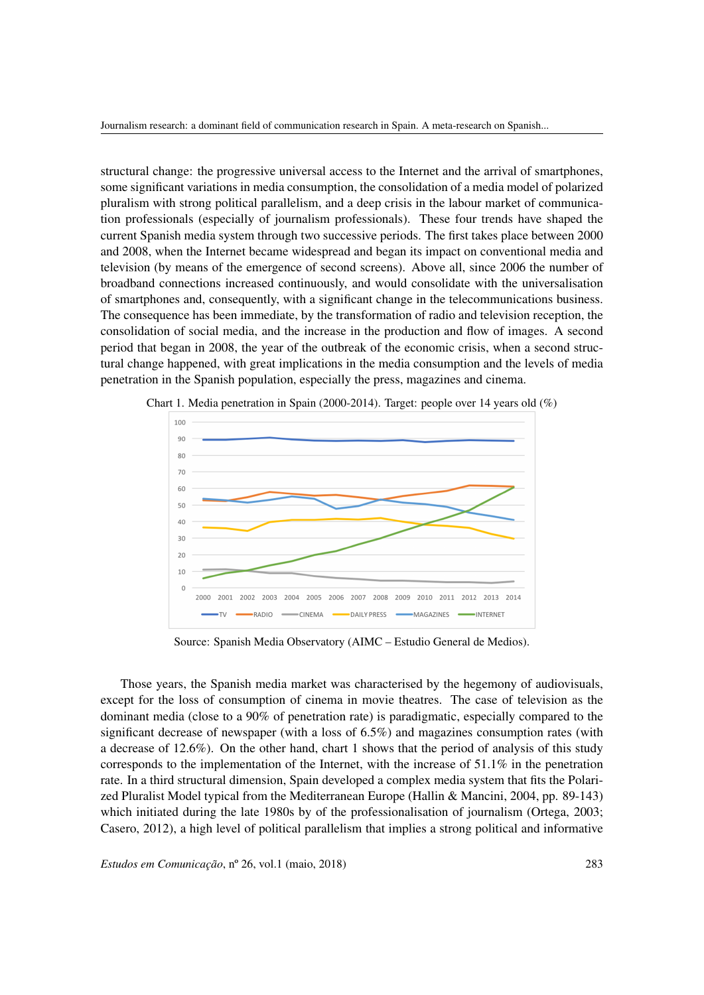structural change: the progressive universal access to the Internet and the arrival of smartphones, some significant variations in media consumption, the consolidation of a media model of polarized pluralism with strong political parallelism, and a deep crisis in the labour market of communication professionals (especially of journalism professionals). These four trends have shaped the current Spanish media system through two successive periods. The first takes place between 2000 and 2008, when the Internet became widespread and began its impact on conventional media and television (by means of the emergence of second screens). Above all, since 2006 the number of broadband connections increased continuously, and would consolidate with the universalisation of smartphones and, consequently, with a significant change in the telecommunications business. The consequence has been immediate, by the transformation of radio and television reception, the consolidation of social media, and the increase in the production and flow of images. A second period that began in 2008, the year of the outbreak of the economic crisis, when a second structural change happened, with great implications in the media consumption and the levels of media penetration in the Spanish population, especially the press, magazines and cinema.



Chart 1. Media penetration in Spain (2000-2014). Target: people over 14 years old (%)

Source: Spanish Media Observatory (AIMC – Estudio General de Medios).

Those years, the Spanish media market was characterised by the hegemony of audiovisuals, except for the loss of consumption of cinema in movie theatres. The case of television as the dominant media (close to a 90% of penetration rate) is paradigmatic, especially compared to the significant decrease of newspaper (with a loss of  $6.5\%$ ) and magazines consumption rates (with a decrease of 12.6%). On the other hand, chart 1 shows that the period of analysis of this study corresponds to the implementation of the Internet, with the increase of 51.1% in the penetration rate. In a third structural dimension, Spain developed a complex media system that fits the Polarized Pluralist Model typical from the Mediterranean Europe (Hallin & Mancini, 2004, pp. 89-143) which initiated during the late 1980s by of the professionalisation of journalism (Ortega, 2003; Casero, 2012), a high level of political parallelism that implies a strong political and informative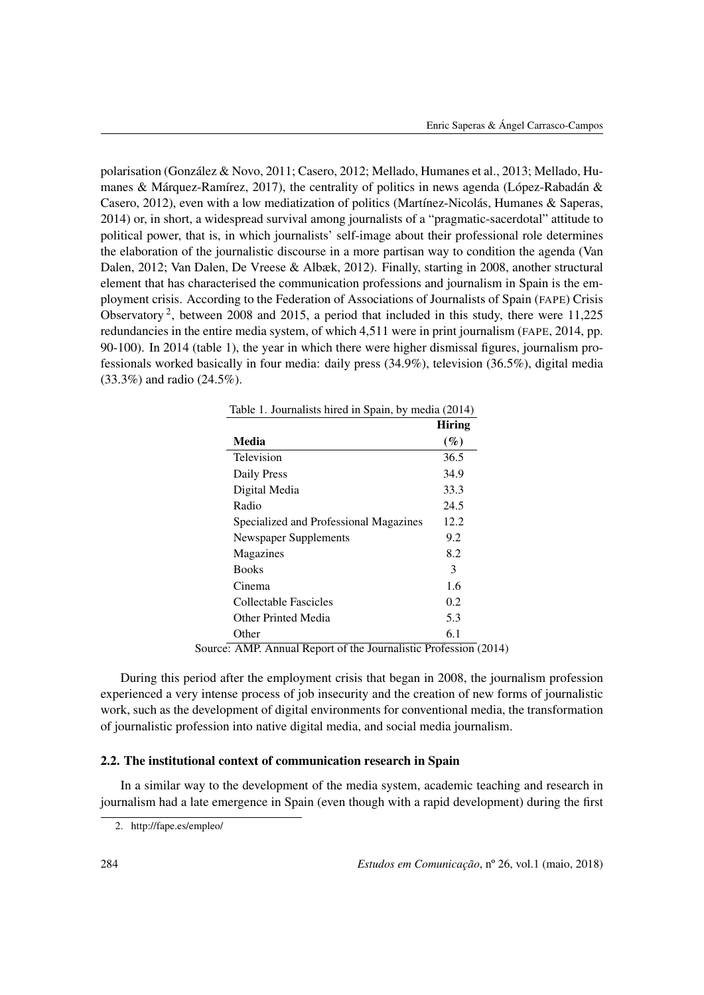polarisation (González & Novo, 2011; Casero, 2012; Mellado, Humanes et al., 2013; Mellado, Humanes & Márquez-Ramírez, 2017), the centrality of politics in news agenda (López-Rabadán & Casero, 2012), even with a low mediatization of politics (Martínez-Nicolás, Humanes & Saperas, 2014) or, in short, a widespread survival among journalists of a "pragmatic-sacerdotal" attitude to political power, that is, in which journalists' self-image about their professional role determines the elaboration of the journalistic discourse in a more partisan way to condition the agenda (Van Dalen, 2012; Van Dalen, De Vreese & Albæk, 2012). Finally, starting in 2008, another structural element that has characterised the communication professions and journalism in Spain is the employment crisis. According to the Federation of Associations of Journalists of Spain (FAPE) Crisis Observatory<sup>2</sup>, between 2008 and 2015, a period that included in this study, there were  $11,225$ redundancies in the entire media system, of which 4,511 were in print journalism (FAPE, 2014, pp. 90-100). In 2014 (table 1), the year in which there were higher dismissal figures, journalism professionals worked basically in four media: daily press (34.9%), television (36.5%), digital media (33.3%) and radio (24.5%).

|                                        | <b>Hiring</b> |
|----------------------------------------|---------------|
| Media                                  | $($ %)        |
| Television                             | 36.5          |
| Daily Press                            | 34.9          |
| Digital Media                          | 33.3          |
| Radio                                  | 24.5          |
| Specialized and Professional Magazines | 12.2          |
| Newspaper Supplements                  | 9.2           |
| Magazines                              | 8.2           |
| <b>Books</b>                           | 3             |
| Cinema                                 | 1.6           |
| Collectable Fascicles                  | 0.2           |
| Other Printed Media                    | 5.3           |
| Other                                  | 6.1           |

Source: AMP. Annual Report of the Journalistic Profession (2014)

During this period after the employment crisis that began in 2008, the journalism profession experienced a very intense process of job insecurity and the creation of new forms of journalistic work, such as the development of digital environments for conventional media, the transformation of journalistic profession into native digital media, and social media journalism.

### 2.2. The institutional context of communication research in Spain

In a similar way to the development of the media system, academic teaching and research in journalism had a late emergence in Spain (even though with a rapid development) during the first

<sup>2.</sup> <http://fape.es/empleo/>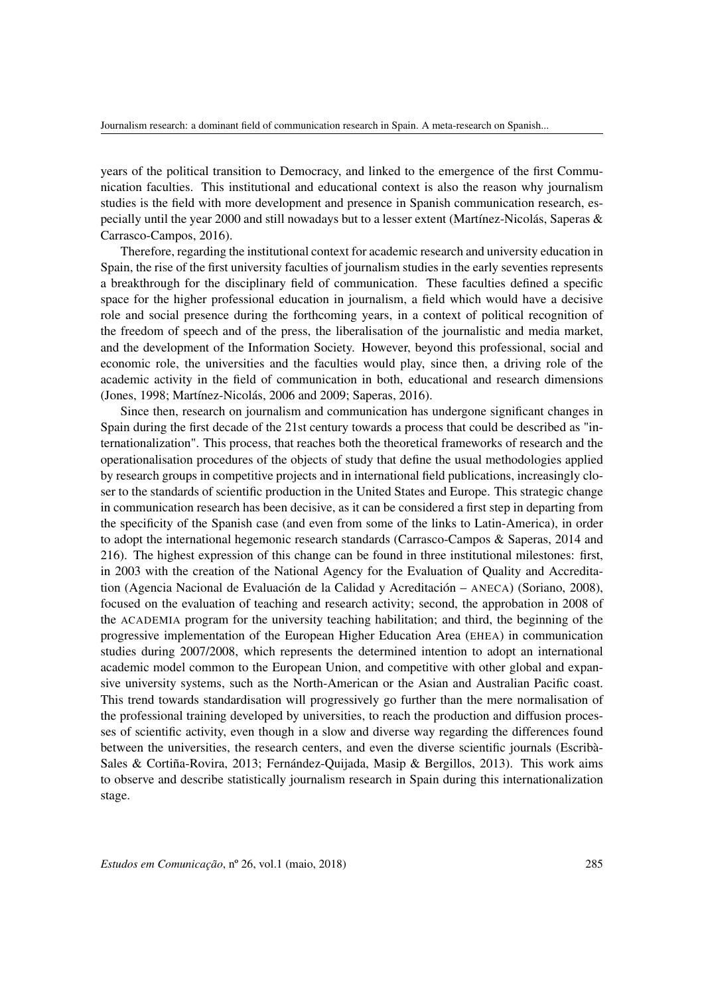years of the political transition to Democracy, and linked to the emergence of the first Communication faculties. This institutional and educational context is also the reason why journalism studies is the field with more development and presence in Spanish communication research, especially until the year 2000 and still nowadays but to a lesser extent (Martínez-Nicolás, Saperas & Carrasco-Campos, 2016).

Therefore, regarding the institutional context for academic research and university education in Spain, the rise of the first university faculties of journalism studies in the early seventies represents a breakthrough for the disciplinary field of communication. These faculties defined a specific space for the higher professional education in journalism, a field which would have a decisive role and social presence during the forthcoming years, in a context of political recognition of the freedom of speech and of the press, the liberalisation of the journalistic and media market, and the development of the Information Society. However, beyond this professional, social and economic role, the universities and the faculties would play, since then, a driving role of the academic activity in the field of communication in both, educational and research dimensions (Jones, 1998; Martínez-Nicolás, 2006 and 2009; Saperas, 2016).

Since then, research on journalism and communication has undergone significant changes in Spain during the first decade of the 21st century towards a process that could be described as "internationalization". This process, that reaches both the theoretical frameworks of research and the operationalisation procedures of the objects of study that define the usual methodologies applied by research groups in competitive projects and in international field publications, increasingly closer to the standards of scientific production in the United States and Europe. This strategic change in communication research has been decisive, as it can be considered a first step in departing from the specificity of the Spanish case (and even from some of the links to Latin-America), in order to adopt the international hegemonic research standards (Carrasco-Campos & Saperas, 2014 and 216). The highest expression of this change can be found in three institutional milestones: first, in 2003 with the creation of the National Agency for the Evaluation of Quality and Accreditation (Agencia Nacional de Evaluación de la Calidad y Acreditación – ANECA) (Soriano, 2008), focused on the evaluation of teaching and research activity; second, the approbation in 2008 of the ACADEMIA program for the university teaching habilitation; and third, the beginning of the progressive implementation of the European Higher Education Area (EHEA) in communication studies during 2007/2008, which represents the determined intention to adopt an international academic model common to the European Union, and competitive with other global and expansive university systems, such as the North-American or the Asian and Australian Pacific coast. This trend towards standardisation will progressively go further than the mere normalisation of the professional training developed by universities, to reach the production and diffusion processes of scientific activity, even though in a slow and diverse way regarding the differences found between the universities, the research centers, and even the diverse scientific journals (Escribà-Sales & Cortiña-Rovira, 2013; Fernández-Quijada, Masip & Bergillos, 2013). This work aims to observe and describe statistically journalism research in Spain during this internationalization stage.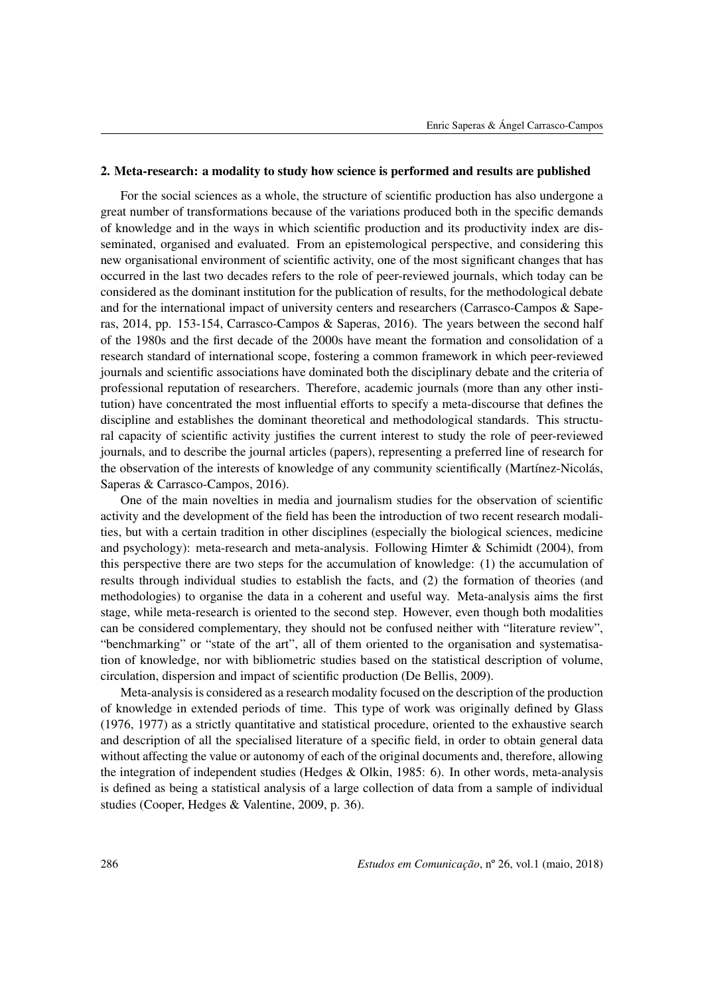#### 2. Meta-research: a modality to study how science is performed and results are published

For the social sciences as a whole, the structure of scientific production has also undergone a great number of transformations because of the variations produced both in the specific demands of knowledge and in the ways in which scientific production and its productivity index are disseminated, organised and evaluated. From an epistemological perspective, and considering this new organisational environment of scientific activity, one of the most significant changes that has occurred in the last two decades refers to the role of peer-reviewed journals, which today can be considered as the dominant institution for the publication of results, for the methodological debate and for the international impact of university centers and researchers (Carrasco-Campos & Saperas, 2014, pp. 153-154, Carrasco-Campos & Saperas, 2016). The years between the second half of the 1980s and the first decade of the 2000s have meant the formation and consolidation of a research standard of international scope, fostering a common framework in which peer-reviewed journals and scientific associations have dominated both the disciplinary debate and the criteria of professional reputation of researchers. Therefore, academic journals (more than any other institution) have concentrated the most influential efforts to specify a meta-discourse that defines the discipline and establishes the dominant theoretical and methodological standards. This structural capacity of scientific activity justifies the current interest to study the role of peer-reviewed journals, and to describe the journal articles (papers), representing a preferred line of research for the observation of the interests of knowledge of any community scientifically (Martínez-Nicolás, Saperas & Carrasco-Campos, 2016).

One of the main novelties in media and journalism studies for the observation of scientific activity and the development of the field has been the introduction of two recent research modalities, but with a certain tradition in other disciplines (especially the biological sciences, medicine and psychology): meta-research and meta-analysis. Following Himter & Schimidt (2004), from this perspective there are two steps for the accumulation of knowledge: (1) the accumulation of results through individual studies to establish the facts, and (2) the formation of theories (and methodologies) to organise the data in a coherent and useful way. Meta-analysis aims the first stage, while meta-research is oriented to the second step. However, even though both modalities can be considered complementary, they should not be confused neither with "literature review", "benchmarking" or "state of the art", all of them oriented to the organisation and systematisation of knowledge, nor with bibliometric studies based on the statistical description of volume, circulation, dispersion and impact of scientific production (De Bellis, 2009).

Meta-analysis is considered as a research modality focused on the description of the production of knowledge in extended periods of time. This type of work was originally defined by Glass (1976, 1977) as a strictly quantitative and statistical procedure, oriented to the exhaustive search and description of all the specialised literature of a specific field, in order to obtain general data without affecting the value or autonomy of each of the original documents and, therefore, allowing the integration of independent studies (Hedges & Olkin, 1985: 6). In other words, meta-analysis is defined as being a statistical analysis of a large collection of data from a sample of individual studies (Cooper, Hedges & Valentine, 2009, p. 36).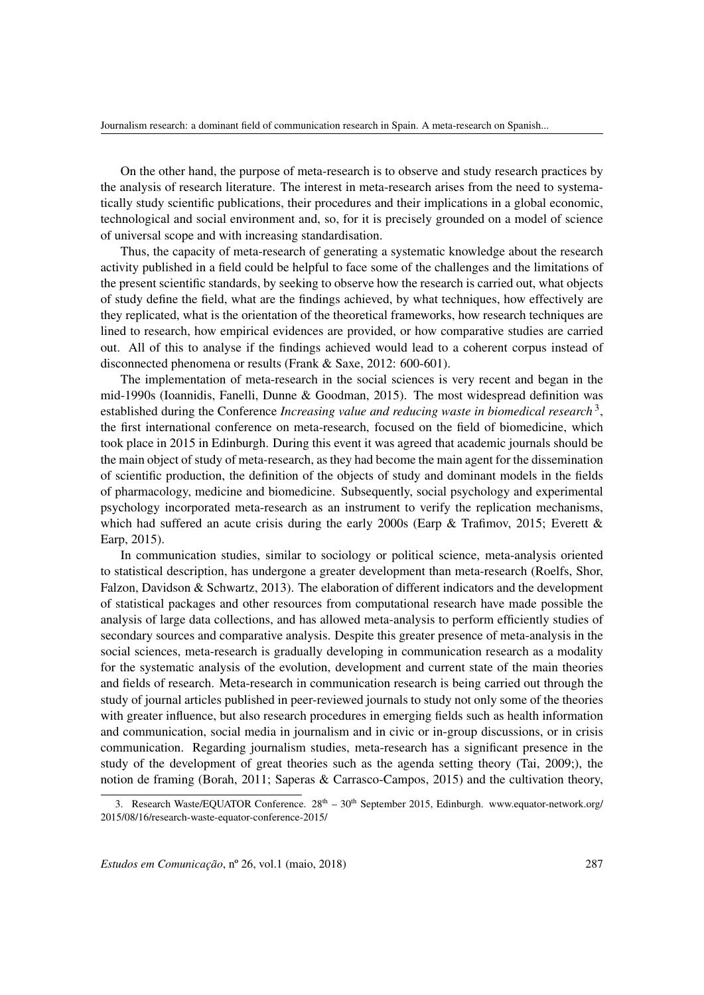On the other hand, the purpose of meta-research is to observe and study research practices by the analysis of research literature. The interest in meta-research arises from the need to systematically study scientific publications, their procedures and their implications in a global economic, technological and social environment and, so, for it is precisely grounded on a model of science of universal scope and with increasing standardisation.

Thus, the capacity of meta-research of generating a systematic knowledge about the research activity published in a field could be helpful to face some of the challenges and the limitations of the present scientific standards, by seeking to observe how the research is carried out, what objects of study define the field, what are the findings achieved, by what techniques, how effectively are they replicated, what is the orientation of the theoretical frameworks, how research techniques are lined to research, how empirical evidences are provided, or how comparative studies are carried out. All of this to analyse if the findings achieved would lead to a coherent corpus instead of disconnected phenomena or results (Frank & Saxe, 2012: 600-601).

The implementation of meta-research in the social sciences is very recent and began in the mid-1990s (Ioannidis, Fanelli, Dunne & Goodman, 2015). The most widespread definition was established during the Conference *Increasing value and reducing waste in biomedical research*<sup>3</sup>, the first international conference on meta-research, focused on the field of biomedicine, which took place in 2015 in Edinburgh. During this event it was agreed that academic journals should be the main object of study of meta-research, as they had become the main agent for the dissemination of scientific production, the definition of the objects of study and dominant models in the fields of pharmacology, medicine and biomedicine. Subsequently, social psychology and experimental psychology incorporated meta-research as an instrument to verify the replication mechanisms, which had suffered an acute crisis during the early 2000s (Earp & Trafimov, 2015; Everett & Earp, 2015).

In communication studies, similar to sociology or political science, meta-analysis oriented to statistical description, has undergone a greater development than meta-research (Roelfs, Shor, Falzon, Davidson & Schwartz, 2013). The elaboration of different indicators and the development of statistical packages and other resources from computational research have made possible the analysis of large data collections, and has allowed meta-analysis to perform efficiently studies of secondary sources and comparative analysis. Despite this greater presence of meta-analysis in the social sciences, meta-research is gradually developing in communication research as a modality for the systematic analysis of the evolution, development and current state of the main theories and fields of research. Meta-research in communication research is being carried out through the study of journal articles published in peer-reviewed journals to study not only some of the theories with greater influence, but also research procedures in emerging fields such as health information and communication, social media in journalism and in civic or in-group discussions, or in crisis communication. Regarding journalism studies, meta-research has a significant presence in the study of the development of great theories such as the agenda setting theory (Tai, 2009;), the notion de framing (Borah, 2011; Saperas & Carrasco-Campos, 2015) and the cultivation theory,

<sup>3.</sup> Research Waste/EQUATOR Conference.  $28<sup>th</sup> - 30<sup>th</sup>$  September 2015, Edinburgh. [www.equator-network.org/](http://www.equator-network.org/2015/08/16/research-waste-equator-conference-2015/) [2015/08/16/research-waste-equator-conference-2015/](http://www.equator-network.org/2015/08/16/research-waste-equator-conference-2015/)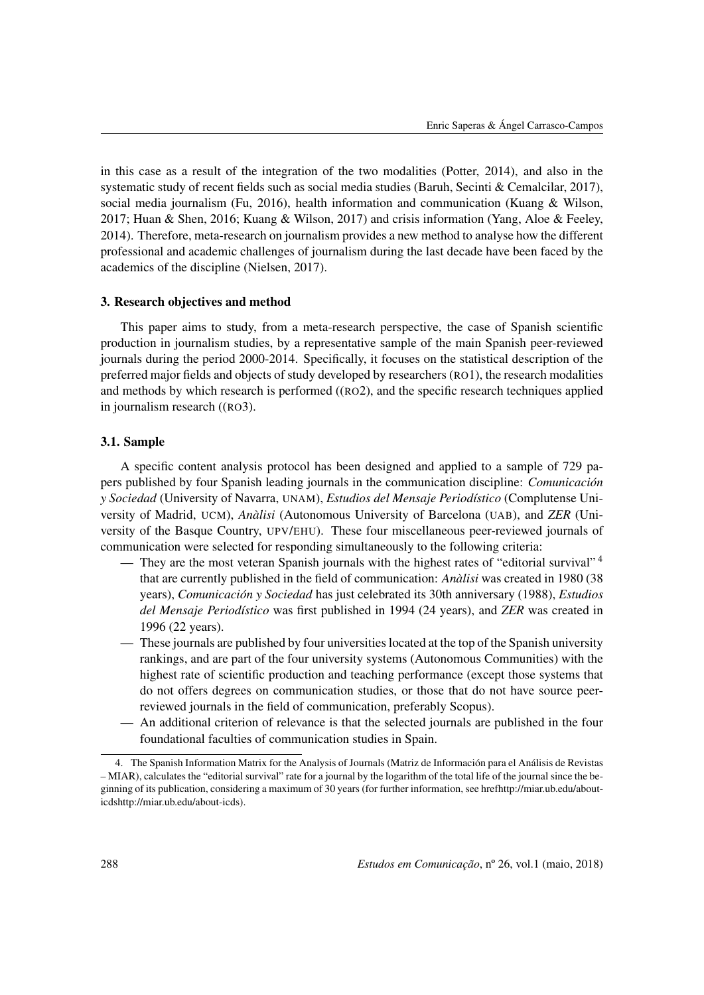in this case as a result of the integration of the two modalities (Potter, 2014), and also in the systematic study of recent fields such as social media studies (Baruh, Secinti & Cemalcilar, 2017), social media journalism (Fu, 2016), health information and communication (Kuang & Wilson, 2017; Huan & Shen, 2016; Kuang & Wilson, 2017) and crisis information (Yang, Aloe & Feeley, 2014). Therefore, meta-research on journalism provides a new method to analyse how the different professional and academic challenges of journalism during the last decade have been faced by the academics of the discipline (Nielsen, 2017).

### 3. Research objectives and method

This paper aims to study, from a meta-research perspective, the case of Spanish scientific production in journalism studies, by a representative sample of the main Spanish peer-reviewed journals during the period 2000-2014. Specifically, it focuses on the statistical description of the preferred major fields and objects of study developed by researchers (RO1), the research modalities and methods by which research is performed ((RO2), and the specific research techniques applied in journalism research ((RO3).

### 3.1. Sample

A specific content analysis protocol has been designed and applied to a sample of 729 papers published by four Spanish leading journals in the communication discipline: *Comunicación y Sociedad* (University of Navarra, UNAM), *Estudios del Mensaje Periodístico* (Complutense University of Madrid, UCM), *Anàlisi* (Autonomous University of Barcelona (UAB), and *ZER* (University of the Basque Country, UPV/EHU). These four miscellaneous peer-reviewed journals of communication were selected for responding simultaneously to the following criteria:

- They are the most veteran Spanish journals with the highest rates of "editorial survival"<sup>4</sup> that are currently published in the field of communication: *Anàlisi* was created in 1980 (38 years), *Comunicación y Sociedad* has just celebrated its 30th anniversary (1988), *Estudios del Mensaje Periodístico* was first published in 1994 (24 years), and *ZER* was created in 1996 (22 years).
- These journals are published by four universities located at the top of the Spanish university rankings, and are part of the four university systems (Autonomous Communities) with the highest rate of scientific production and teaching performance (except those systems that do not offers degrees on communication studies, or those that do not have source peerreviewed journals in the field of communication, preferably Scopus).
- An additional criterion of relevance is that the selected journals are published in the four foundational faculties of communication studies in Spain.

<sup>4.</sup> The Spanish Information Matrix for the Analysis of Journals (Matriz de Información para el Análisis de Revistas – MIAR), calculates the "editorial survival" rate for a journal by the logarithm of the total life of the journal since the beginning of its publication, considering a maximum of 30 years (for further information, see hrefhttp://miar.ub.edu/abouticdshttp://miar.ub.edu/about-icds).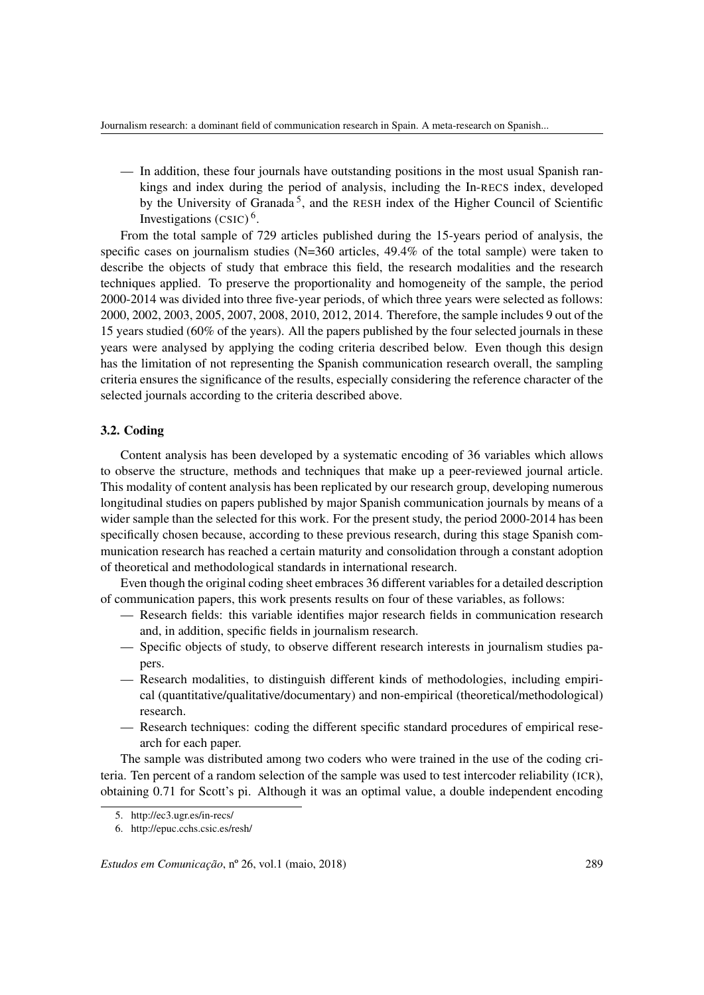— In addition, these four journals have outstanding positions in the most usual Spanish rankings and index during the period of analysis, including the In-RECS index, developed by the University of Granada<sup>5</sup>, and the RESH index of the Higher Council of Scientific Investigations  $(CSIC)^6$ .

From the total sample of 729 articles published during the 15-years period of analysis, the specific cases on journalism studies (N=360 articles, 49.4% of the total sample) were taken to describe the objects of study that embrace this field, the research modalities and the research techniques applied. To preserve the proportionality and homogeneity of the sample, the period 2000-2014 was divided into three five-year periods, of which three years were selected as follows: 2000, 2002, 2003, 2005, 2007, 2008, 2010, 2012, 2014. Therefore, the sample includes 9 out of the 15 years studied (60% of the years). All the papers published by the four selected journals in these years were analysed by applying the coding criteria described below. Even though this design has the limitation of not representing the Spanish communication research overall, the sampling criteria ensures the significance of the results, especially considering the reference character of the selected journals according to the criteria described above.

### 3.2. Coding

Content analysis has been developed by a systematic encoding of 36 variables which allows to observe the structure, methods and techniques that make up a peer-reviewed journal article. This modality of content analysis has been replicated by our research group, developing numerous longitudinal studies on papers published by major Spanish communication journals by means of a wider sample than the selected for this work. For the present study, the period 2000-2014 has been specifically chosen because, according to these previous research, during this stage Spanish communication research has reached a certain maturity and consolidation through a constant adoption of theoretical and methodological standards in international research.

Even though the original coding sheet embraces 36 different variables for a detailed description of communication papers, this work presents results on four of these variables, as follows:

- Research fields: this variable identifies major research fields in communication research and, in addition, specific fields in journalism research.
- Specific objects of study, to observe different research interests in journalism studies papers.
- Research modalities, to distinguish different kinds of methodologies, including empirical (quantitative/qualitative/documentary) and non-empirical (theoretical/methodological) research.
- Research techniques: coding the different specific standard procedures of empirical research for each paper.

The sample was distributed among two coders who were trained in the use of the coding criteria. Ten percent of a random selection of the sample was used to test intercoder reliability (ICR), obtaining 0.71 for Scott's pi. Although it was an optimal value, a double independent encoding

<sup>5.</sup> <http://ec3.ugr.es/in-recs/>

<sup>6.</sup> <http://epuc.cchs.csic.es/resh/>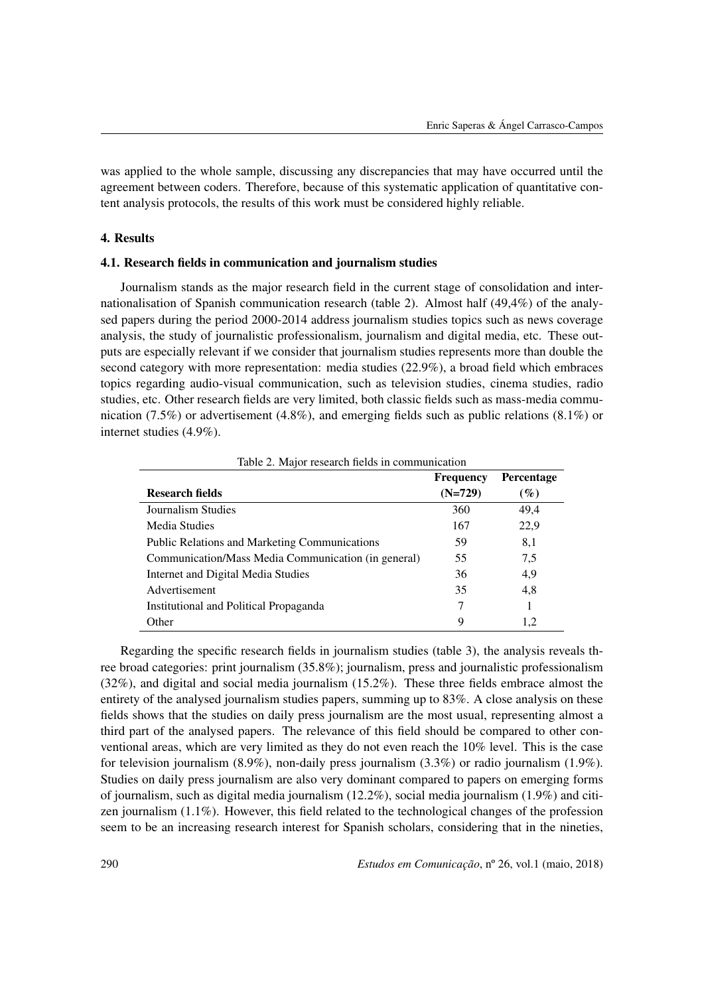was applied to the whole sample, discussing any discrepancies that may have occurred until the agreement between coders. Therefore, because of this systematic application of quantitative content analysis protocols, the results of this work must be considered highly reliable.

#### 4. Results

#### 4.1. Research fields in communication and journalism studies

Journalism stands as the major research field in the current stage of consolidation and internationalisation of Spanish communication research (table 2). Almost half (49,4%) of the analysed papers during the period 2000-2014 address journalism studies topics such as news coverage analysis, the study of journalistic professionalism, journalism and digital media, etc. These outputs are especially relevant if we consider that journalism studies represents more than double the second category with more representation: media studies (22.9%), a broad field which embraces topics regarding audio-visual communication, such as television studies, cinema studies, radio studies, etc. Other research fields are very limited, both classic fields such as mass-media communication (7.5%) or advertisement (4.8%), and emerging fields such as public relations (8.1%) or internet studies (4.9%).

Table 2. Major research fields in communication

|                                                      | <b>Frequency</b> | <b>Percentage</b> |
|------------------------------------------------------|------------------|-------------------|
| Research fields                                      | $(N=729)$        | $(\%)$            |
| Journalism Studies                                   | 360              | 49.4              |
| Media Studies                                        | 167              | 22,9              |
| <b>Public Relations and Marketing Communications</b> | 59               | 8,1               |
| Communication/Mass Media Communication (in general)  | 55               | 7.5               |
| Internet and Digital Media Studies                   | 36               | 4,9               |
| Advertisement                                        | 35               | 4.8               |
| Institutional and Political Propaganda               | 7                |                   |
| Other                                                | 9                | 1.2               |

Regarding the specific research fields in journalism studies (table 3), the analysis reveals three broad categories: print journalism (35.8%); journalism, press and journalistic professionalism (32%), and digital and social media journalism (15.2%). These three fields embrace almost the entirety of the analysed journalism studies papers, summing up to 83%. A close analysis on these fields shows that the studies on daily press journalism are the most usual, representing almost a third part of the analysed papers. The relevance of this field should be compared to other conventional areas, which are very limited as they do not even reach the 10% level. This is the case for television journalism (8.9%), non-daily press journalism (3.3%) or radio journalism (1.9%). Studies on daily press journalism are also very dominant compared to papers on emerging forms of journalism, such as digital media journalism (12.2%), social media journalism (1.9%) and citizen journalism (1.1%). However, this field related to the technological changes of the profession seem to be an increasing research interest for Spanish scholars, considering that in the nineties,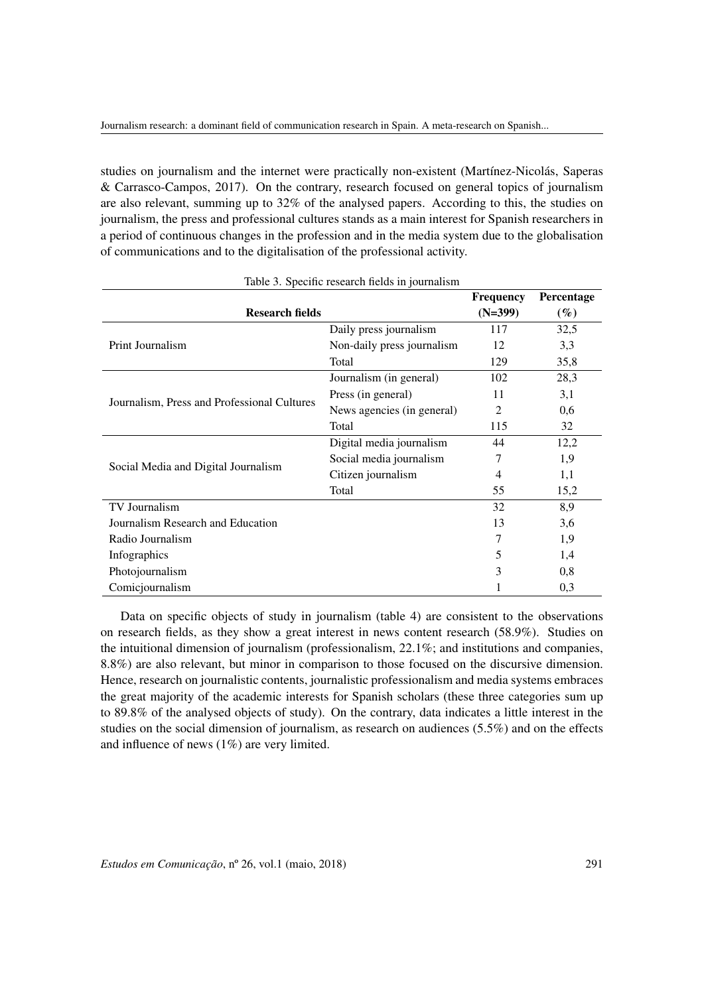studies on journalism and the internet were practically non-existent (Martínez-Nicolás, Saperas & Carrasco-Campos, 2017). On the contrary, research focused on general topics of journalism are also relevant, summing up to 32% of the analysed papers. According to this, the studies on journalism, the press and professional cultures stands as a main interest for Spanish researchers in a period of continuous changes in the profession and in the media system due to the globalisation of communications and to the digitalisation of the professional activity.

Table 3. Specific research fields in journalism

|                                             | raone 5. Specific research fields in journalism |            |      |
|---------------------------------------------|-------------------------------------------------|------------|------|
|                                             | <b>Frequency</b>                                | Percentage |      |
| <b>Research fields</b>                      | $(N=399)$                                       | $(\%)$     |      |
|                                             | Daily press journalism                          | 117        | 32,5 |
| Print Journalism                            | Non-daily press journalism                      | 12         | 3,3  |
|                                             | Total                                           | 129        | 35,8 |
|                                             | Journalism (in general)                         | 102        | 28,3 |
| Journalism, Press and Professional Cultures | Press (in general)                              | 11         | 3,1  |
|                                             | News agencies (in general)                      | 2          | 0,6  |
|                                             | Total                                           | 115        | 32   |
|                                             | Digital media journalism                        | 44         | 12,2 |
|                                             | Social media journalism                         | 7          | 1,9  |
| Social Media and Digital Journalism         | Citizen journalism                              | 4          | 1,1  |
|                                             | Total                                           | 55         | 15,2 |
| TV Journalism                               |                                                 | 32         | 8,9  |
| Journalism Research and Education           |                                                 | 13         | 3,6  |
| Radio Journalism                            |                                                 | 7          | 1,9  |
| Infographics                                |                                                 | 5          | 1,4  |
| Photojournalism                             |                                                 | 3          | 0,8  |
| Comicjournalism                             |                                                 |            | 0,3  |

Data on specific objects of study in journalism (table 4) are consistent to the observations on research fields, as they show a great interest in news content research (58.9%). Studies on the intuitional dimension of journalism (professionalism, 22.1%; and institutions and companies, 8.8%) are also relevant, but minor in comparison to those focused on the discursive dimension. Hence, research on journalistic contents, journalistic professionalism and media systems embraces the great majority of the academic interests for Spanish scholars (these three categories sum up to 89.8% of the analysed objects of study). On the contrary, data indicates a little interest in the studies on the social dimension of journalism, as research on audiences (5.5%) and on the effects and influence of news (1%) are very limited.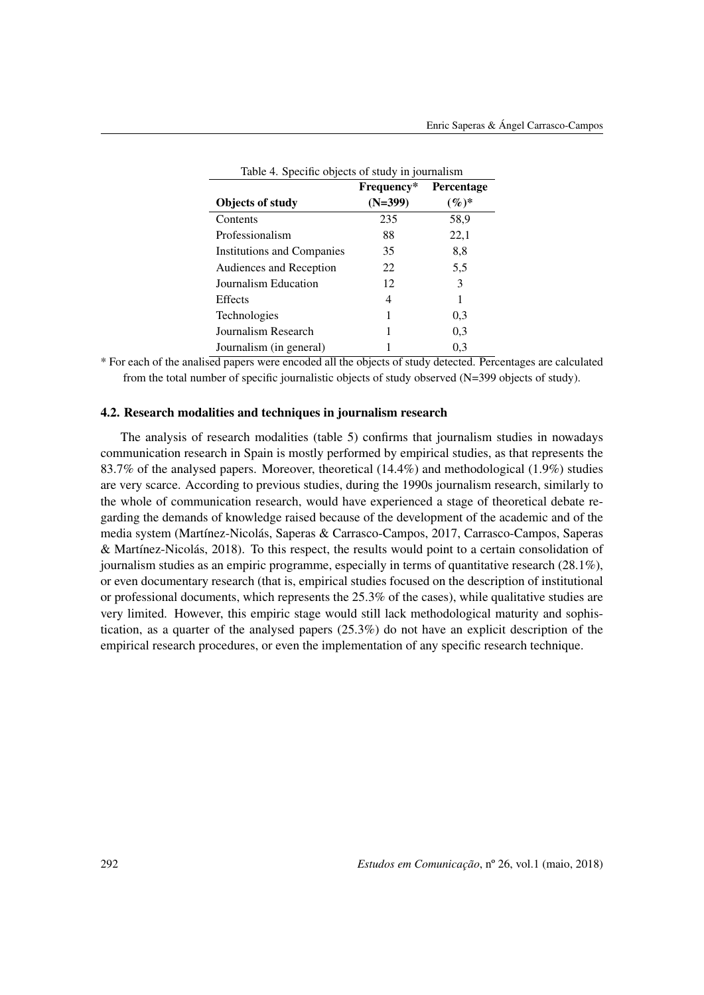| Table 4. Specific objects of study in journalism |            |                   |  |  |
|--------------------------------------------------|------------|-------------------|--|--|
|                                                  | Frequency* | <b>Percentage</b> |  |  |
| <b>Objects of study</b>                          | $(N=399)$  | $(%)^*$           |  |  |
| Contents                                         | 235        | 58,9              |  |  |
| Professionalism                                  | 88         | 22,1              |  |  |
| Institutions and Companies                       | 35         | 8,8               |  |  |
| Audiences and Reception                          | 22         | 5,5               |  |  |
| Journalism Education                             | 12         | 3                 |  |  |
| Effects                                          | 4          | 1                 |  |  |
| Technologies                                     | 1          | 0.3               |  |  |
| Journalism Research                              | 1          | 0,3               |  |  |
| Journalism (in general)                          |            | 0.3               |  |  |

\* For each of the analised papers were encoded all the objects of study detected. Percentages are calculated from the total number of specific journalistic objects of study observed (N=399 objects of study).

## 4.2. Research modalities and techniques in journalism research

The analysis of research modalities (table 5) confirms that journalism studies in nowadays communication research in Spain is mostly performed by empirical studies, as that represents the 83.7% of the analysed papers. Moreover, theoretical (14.4%) and methodological (1.9%) studies are very scarce. According to previous studies, during the 1990s journalism research, similarly to the whole of communication research, would have experienced a stage of theoretical debate regarding the demands of knowledge raised because of the development of the academic and of the media system (Martínez-Nicolás, Saperas & Carrasco-Campos, 2017, Carrasco-Campos, Saperas & Martínez-Nicolás, 2018). To this respect, the results would point to a certain consolidation of journalism studies as an empiric programme, especially in terms of quantitative research (28.1%), or even documentary research (that is, empirical studies focused on the description of institutional or professional documents, which represents the  $25.3\%$  of the cases), while qualitative studies are very limited. However, this empiric stage would still lack methodological maturity and sophistication, as a quarter of the analysed papers  $(25.3%)$  do not have an explicit description of the empirical research procedures, or even the implementation of any specific research technique.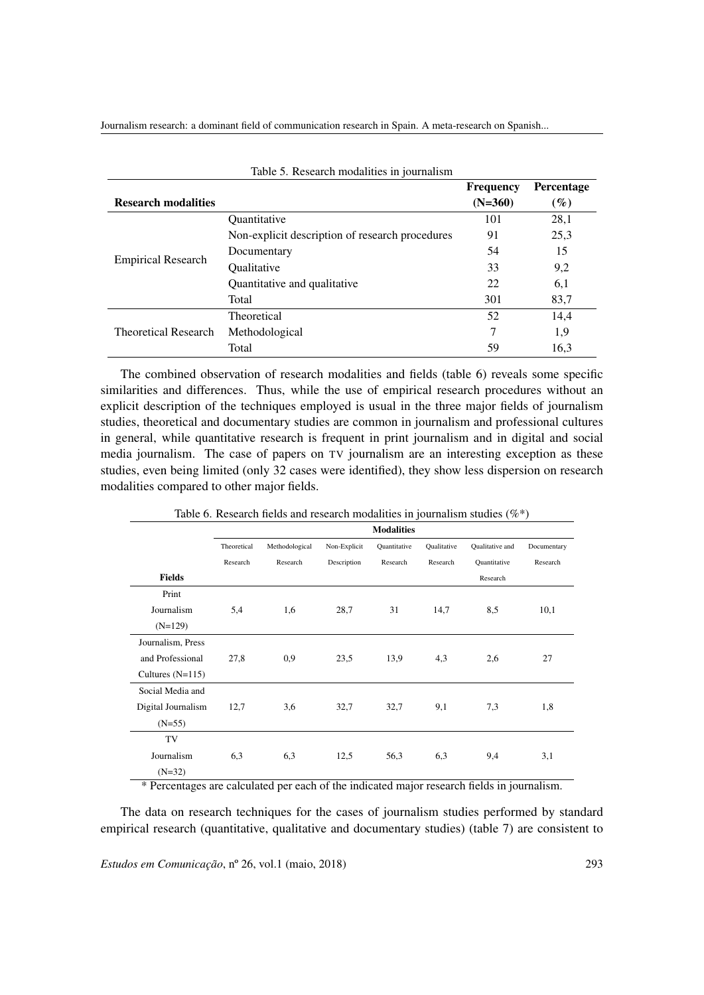Journalism research: a dominant field of communication research in Spain. A meta-research on Spanish...

| Table 5. Research modalities in journalism |                                                 |                  |                   |  |  |  |
|--------------------------------------------|-------------------------------------------------|------------------|-------------------|--|--|--|
|                                            |                                                 | <b>Frequency</b> | <b>Percentage</b> |  |  |  |
| <b>Research modalities</b>                 |                                                 | $(N=360)$        | $(\%)$            |  |  |  |
| <b>Empirical Research</b>                  | Ouantitative                                    | 101              | 28,1              |  |  |  |
|                                            | Non-explicit description of research procedures | 91               | 25,3              |  |  |  |
|                                            | Documentary                                     | 54               | 15                |  |  |  |
|                                            | <b>Oualitative</b>                              | 33               | 9,2               |  |  |  |
|                                            | Quantitative and qualitative                    | 22               | 6,1               |  |  |  |
|                                            | Total                                           | 301              | 83,7              |  |  |  |
|                                            | <b>Theoretical</b>                              | 52               | 14,4              |  |  |  |
| <b>Theoretical Research</b>                | Methodological                                  | 7                | 1,9               |  |  |  |
|                                            | Total                                           | 59               | 16,3              |  |  |  |

The combined observation of research modalities and fields (table 6) reveals some specific similarities and differences. Thus, while the use of empirical research procedures without an explicit description of the techniques employed is usual in the three major fields of journalism studies, theoretical and documentary studies are common in journalism and professional cultures in general, while quantitative research is frequent in print journalism and in digital and social media journalism. The case of papers on TV journalism are an interesting exception as these studies, even being limited (only 32 cases were identified), they show less dispersion on research modalities compared to other major fields.

Table 6. Research fields and research modalities in journalism studies  $(\%^*)$ 

|                    |             |                |              | <b>Modalities</b> |             |                 |             |
|--------------------|-------------|----------------|--------------|-------------------|-------------|-----------------|-------------|
|                    | Theoretical | Methodological | Non-Explicit | Ouantitative      | Qualitative | Qualitative and | Documentary |
|                    | Research    | Research       | Description  | Research          | Research    | Quantitative    | Research    |
| <b>Fields</b>      |             |                |              |                   |             | Research        |             |
| Print              |             |                |              |                   |             |                 |             |
| Journalism         | 5,4         | 1,6            | 28,7         | 31                | 14,7        | 8,5             | 10,1        |
| $(N=129)$          |             |                |              |                   |             |                 |             |
| Journalism, Press  |             |                |              |                   |             |                 |             |
| and Professional   | 27,8        | 0.9            | 23,5         | 13,9              | 4,3         | 2,6             | 27          |
| Cultures $(N=115)$ |             |                |              |                   |             |                 |             |
| Social Media and   |             |                |              |                   |             |                 |             |
| Digital Journalism | 12,7        | 3,6            | 32,7         | 32,7              | 9,1         | 7,3             | 1,8         |
| $(N=55)$           |             |                |              |                   |             |                 |             |
| TV                 |             |                |              |                   |             |                 |             |
| Journalism         | 6,3         | 6,3            | 12,5         | 56,3              | 6,3         | 9,4             | 3,1         |
| $(N=32)$           |             |                |              |                   |             |                 |             |

\* Percentages are calculated per each of the indicated major research fields in journalism.

The data on research techniques for the cases of journalism studies performed by standard empirical research (quantitative, qualitative and documentary studies) (table 7) are consistent to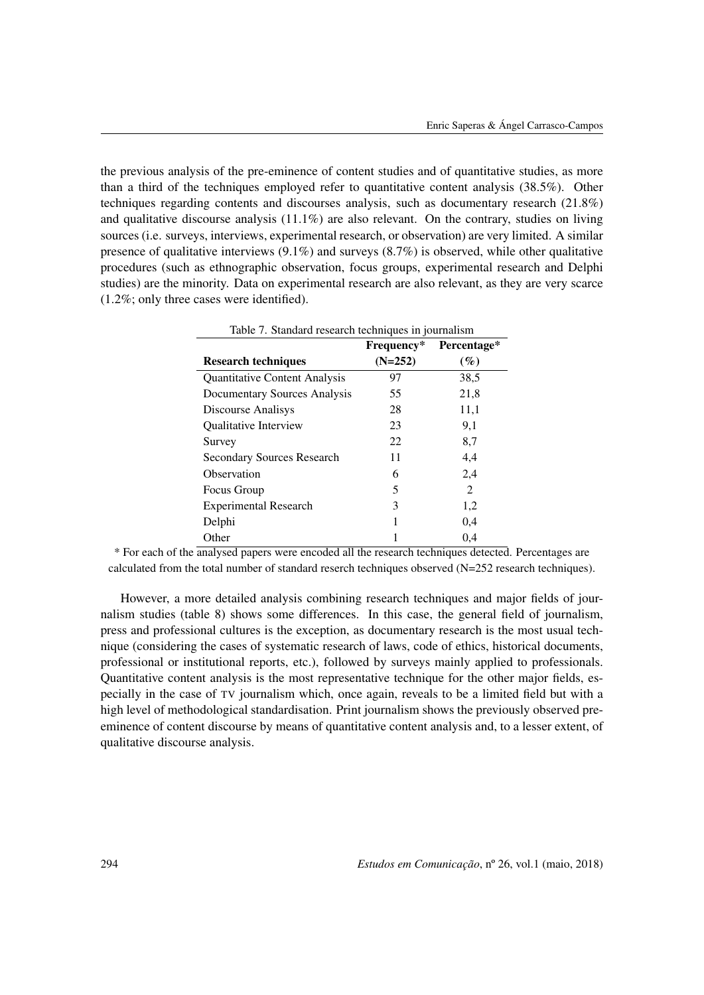the previous analysis of the pre-eminence of content studies and of quantitative studies, as more than a third of the techniques employed refer to quantitative content analysis (38.5%). Other techniques regarding contents and discourses analysis, such as documentary research (21.8%) and qualitative discourse analysis  $(11.1\%)$  are also relevant. On the contrary, studies on living sources (i.e. surveys, interviews, experimental research, or observation) are very limited. A similar presence of qualitative interviews (9.1%) and surveys (8.7%) is observed, while other qualitative procedures (such as ethnographic observation, focus groups, experimental research and Delphi studies) are the minority. Data on experimental research are also relevant, as they are very scarce (1.2%; only three cases were identified).

| Table 7. Standard research techniques in journalism |            |             |  |  |
|-----------------------------------------------------|------------|-------------|--|--|
|                                                     | Frequency* | Percentage* |  |  |
| <b>Research techniques</b>                          | $(N=252)$  | $(\%)$      |  |  |
| <b>Quantitative Content Analysis</b>                | 97         | 38.5        |  |  |
| Documentary Sources Analysis                        | 55         | 21,8        |  |  |
| Discourse Analisys                                  | 28         | 11,1        |  |  |
| <b>Oualitative Interview</b>                        | 23         | 9,1         |  |  |
| Survey                                              | 22         | 8,7         |  |  |
| <b>Secondary Sources Research</b>                   | 11         | 4,4         |  |  |
| Observation                                         | 6          | 2,4         |  |  |
| Focus Group                                         | 5          | 2           |  |  |
| <b>Experimental Research</b>                        | 3          | 1,2         |  |  |
| Delphi                                              |            | 0,4         |  |  |
| Other                                               |            | 0.4         |  |  |

\* For each of the analysed papers were encoded all the research techniques detected. Percentages are calculated from the total number of standard reserch techniques observed (N=252 research techniques).

However, a more detailed analysis combining research techniques and major fields of journalism studies (table 8) shows some differences. In this case, the general field of journalism, press and professional cultures is the exception, as documentary research is the most usual technique (considering the cases of systematic research of laws, code of ethics, historical documents, professional or institutional reports, etc.), followed by surveys mainly applied to professionals. Quantitative content analysis is the most representative technique for the other major fields, especially in the case of TV journalism which, once again, reveals to be a limited field but with a high level of methodological standardisation. Print journalism shows the previously observed preeminence of content discourse by means of quantitative content analysis and, to a lesser extent, of qualitative discourse analysis.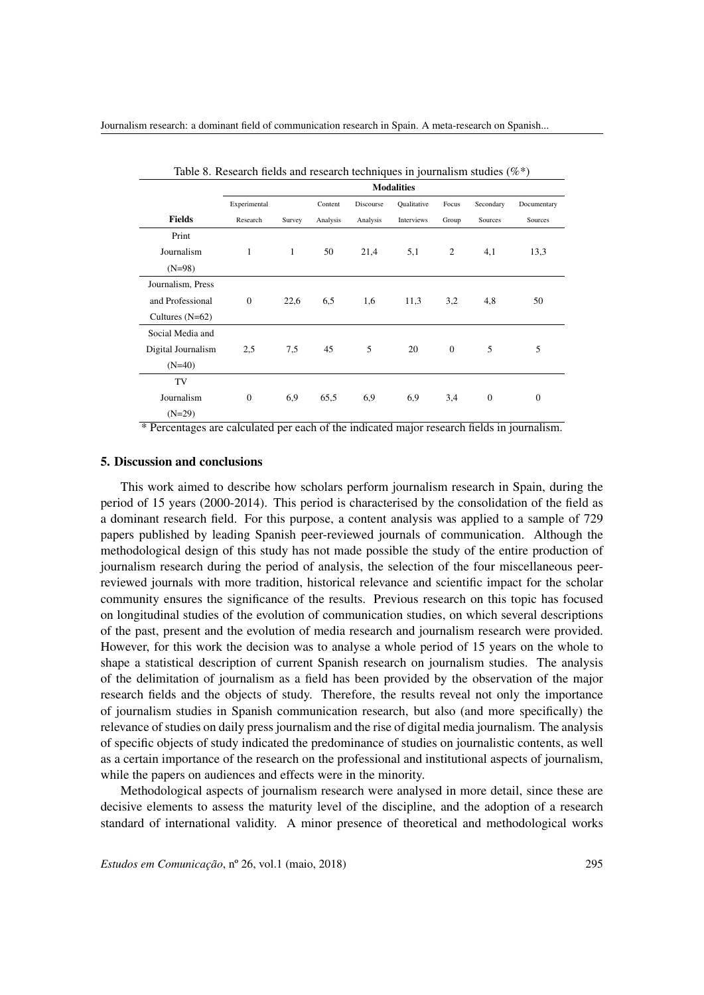|                    | raore of research frence and research teeningues in fourmansin statics ( $\sqrt{v}$ ) |        |          |           |             |                |              |             |
|--------------------|---------------------------------------------------------------------------------------|--------|----------|-----------|-------------|----------------|--------------|-------------|
|                    | <b>Modalities</b>                                                                     |        |          |           |             |                |              |             |
|                    | Experimental                                                                          |        | Content  | Discourse | Qualitative | Focus          | Secondary    | Documentary |
| <b>Fields</b>      | Research                                                                              | Survey | Analysis | Analysis  | Interviews  | Group          | Sources      | Sources     |
| Print              |                                                                                       |        |          |           |             |                |              |             |
| Journalism         | 1                                                                                     | 1      | 50       | 21,4      | 5,1         | $\overline{c}$ | 4,1          | 13,3        |
| $(N=98)$           |                                                                                       |        |          |           |             |                |              |             |
| Journalism, Press  |                                                                                       |        |          |           |             |                |              |             |
| and Professional   | $\mathbf{0}$                                                                          | 22,6   | 6,5      | 1,6       | 11,3        | 3,2            | 4,8          | 50          |
| Cultures $(N=62)$  |                                                                                       |        |          |           |             |                |              |             |
| Social Media and   |                                                                                       |        |          |           |             |                |              |             |
| Digital Journalism | 2,5                                                                                   | 7,5    | 45       | 5         | 20          | $\theta$       | 5            | 5           |
| $(N=40)$           |                                                                                       |        |          |           |             |                |              |             |
| TV                 |                                                                                       |        |          |           |             |                |              |             |
| Journalism         | $\mathbf{0}$                                                                          | 6,9    | 65,5     | 6,9       | 6,9         | 3,4            | $\mathbf{0}$ | $\theta$    |
| $(N=29)$           |                                                                                       |        |          |           |             |                |              |             |

Table 8. Research fields and research techniques in journalism studies  $(\%^*)$ 

\* Percentages are calculated per each of the indicated major research fields in journalism.

## 5. Discussion and conclusions

This work aimed to describe how scholars perform journalism research in Spain, during the period of 15 years (2000-2014). This period is characterised by the consolidation of the field as a dominant research field. For this purpose, a content analysis was applied to a sample of 729 papers published by leading Spanish peer-reviewed journals of communication. Although the methodological design of this study has not made possible the study of the entire production of journalism research during the period of analysis, the selection of the four miscellaneous peerreviewed journals with more tradition, historical relevance and scientific impact for the scholar community ensures the significance of the results. Previous research on this topic has focused on longitudinal studies of the evolution of communication studies, on which several descriptions of the past, present and the evolution of media research and journalism research were provided. However, for this work the decision was to analyse a whole period of 15 years on the whole to shape a statistical description of current Spanish research on journalism studies. The analysis of the delimitation of journalism as a field has been provided by the observation of the major research fields and the objects of study. Therefore, the results reveal not only the importance of journalism studies in Spanish communication research, but also (and more specifically) the relevance of studies on daily press journalism and the rise of digital media journalism. The analysis of specific objects of study indicated the predominance of studies on journalistic contents, as well as a certain importance of the research on the professional and institutional aspects of journalism, while the papers on audiences and effects were in the minority.

Methodological aspects of journalism research were analysed in more detail, since these are decisive elements to assess the maturity level of the discipline, and the adoption of a research standard of international validity. A minor presence of theoretical and methodological works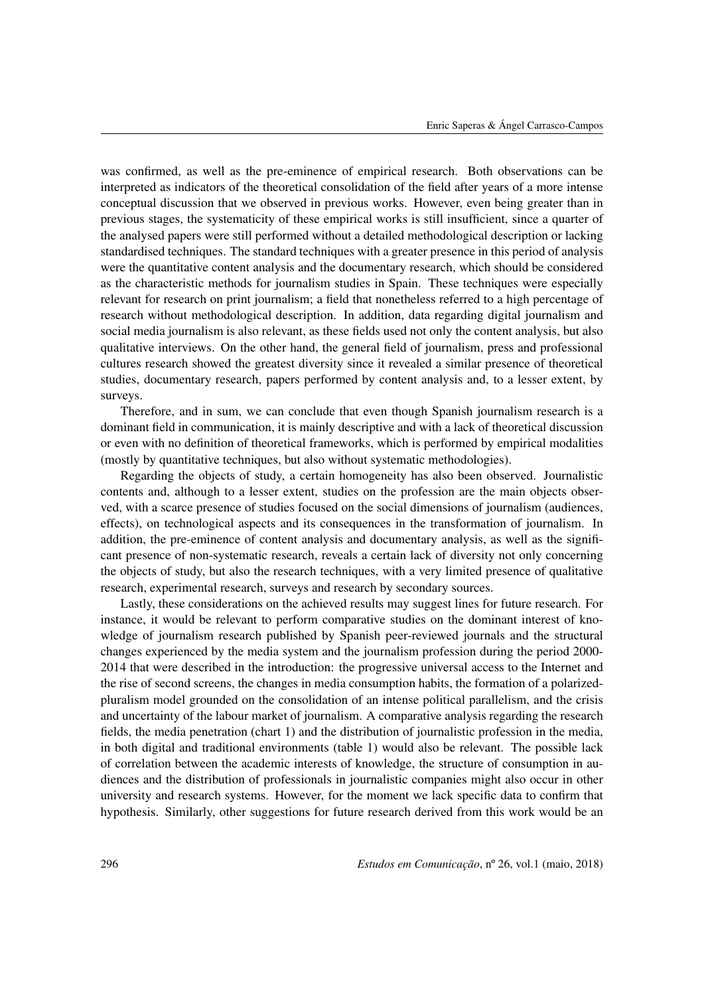was confirmed, as well as the pre-eminence of empirical research. Both observations can be interpreted as indicators of the theoretical consolidation of the field after years of a more intense conceptual discussion that we observed in previous works. However, even being greater than in previous stages, the systematicity of these empirical works is still insufficient, since a quarter of the analysed papers were still performed without a detailed methodological description or lacking standardised techniques. The standard techniques with a greater presence in this period of analysis were the quantitative content analysis and the documentary research, which should be considered as the characteristic methods for journalism studies in Spain. These techniques were especially relevant for research on print journalism; a field that nonetheless referred to a high percentage of research without methodological description. In addition, data regarding digital journalism and social media journalism is also relevant, as these fields used not only the content analysis, but also qualitative interviews. On the other hand, the general field of journalism, press and professional cultures research showed the greatest diversity since it revealed a similar presence of theoretical studies, documentary research, papers performed by content analysis and, to a lesser extent, by surveys.

Therefore, and in sum, we can conclude that even though Spanish journalism research is a dominant field in communication, it is mainly descriptive and with a lack of theoretical discussion or even with no definition of theoretical frameworks, which is performed by empirical modalities (mostly by quantitative techniques, but also without systematic methodologies).

Regarding the objects of study, a certain homogeneity has also been observed. Journalistic contents and, although to a lesser extent, studies on the profession are the main objects observed, with a scarce presence of studies focused on the social dimensions of journalism (audiences, effects), on technological aspects and its consequences in the transformation of journalism. In addition, the pre-eminence of content analysis and documentary analysis, as well as the significant presence of non-systematic research, reveals a certain lack of diversity not only concerning the objects of study, but also the research techniques, with a very limited presence of qualitative research, experimental research, surveys and research by secondary sources.

Lastly, these considerations on the achieved results may suggest lines for future research. For instance, it would be relevant to perform comparative studies on the dominant interest of knowledge of journalism research published by Spanish peer-reviewed journals and the structural changes experienced by the media system and the journalism profession during the period 2000- 2014 that were described in the introduction: the progressive universal access to the Internet and the rise of second screens, the changes in media consumption habits, the formation of a polarizedpluralism model grounded on the consolidation of an intense political parallelism, and the crisis and uncertainty of the labour market of journalism. A comparative analysis regarding the research fields, the media penetration (chart 1) and the distribution of journalistic profession in the media, in both digital and traditional environments (table 1) would also be relevant. The possible lack of correlation between the academic interests of knowledge, the structure of consumption in audiences and the distribution of professionals in journalistic companies might also occur in other university and research systems. However, for the moment we lack specific data to confirm that hypothesis. Similarly, other suggestions for future research derived from this work would be an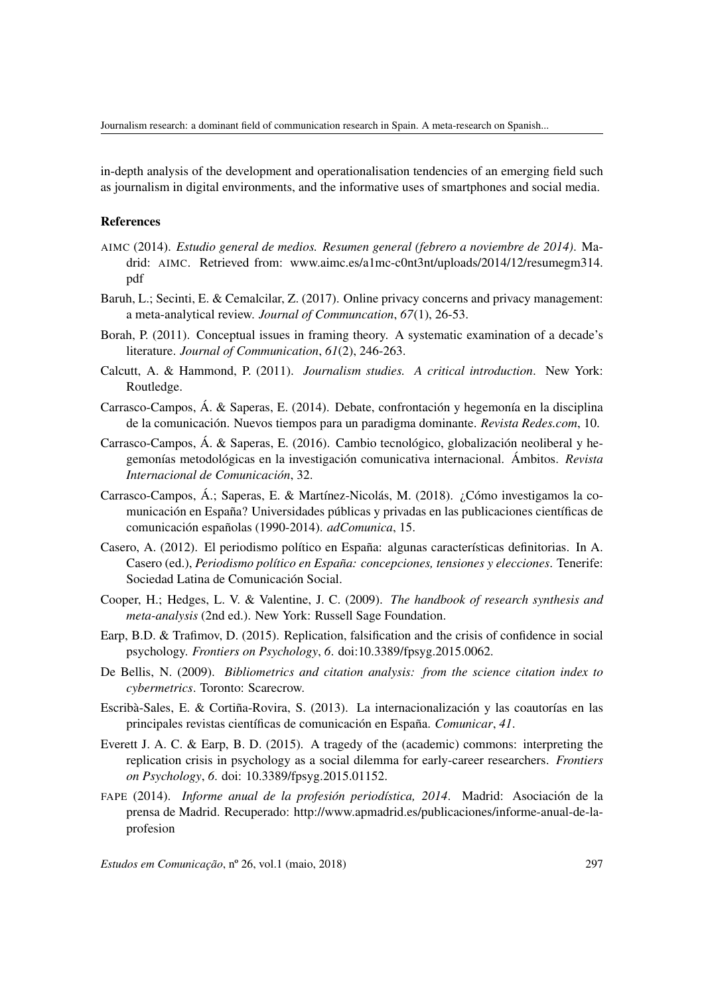Journalism research: a dominant field of communication research in Spain. A meta-research on Spanish...

in-depth analysis of the development and operationalisation tendencies of an emerging field such as journalism in digital environments, and the informative uses of smartphones and social media.

#### References

- AIMC (2014). *Estudio general de medios. Resumen general (febrero a noviembre de 2014)*. Madrid: AIMC. Retrieved from: [www.aimc.es/a1mc-c0nt3nt/uploads/2014/12/resumegm314.](http://www.aimc.es/a1mc-c0nt3nt/uploads/2014/12/resumegm314.pdf) [pdf](http://www.aimc.es/a1mc-c0nt3nt/uploads/2014/12/resumegm314.pdf)
- Baruh, L.; Secinti, E. & Cemalcilar, Z. (2017). Online privacy concerns and privacy management: a meta-analytical review. *Journal of Communcation*, *67*(1), 26-53.
- Borah, P. (2011). Conceptual issues in framing theory. A systematic examination of a decade's literature. *Journal of Communication*, *61*(2), 246-263.
- Calcutt, A. & Hammond, P. (2011). *Journalism studies. A critical introduction*. New York: Routledge.
- Carrasco-Campos, Á. & Saperas, E. (2014). Debate, confrontación y hegemonía en la disciplina de la comunicación. Nuevos tiempos para un paradigma dominante. *Revista Redes.com*, 10.
- Carrasco-Campos, Á. & Saperas, E. (2016). Cambio tecnológico, globalización neoliberal y hegemonías metodológicas en la investigación comunicativa internacional. Ámbitos. *Revista Internacional de Comunicación*, 32.
- Carrasco-Campos, Á.; Saperas, E. & Martínez-Nicolás, M. (2018). ¿Cómo investigamos la comunicación en España? Universidades públicas y privadas en las publicaciones científicas de comunicación españolas (1990-2014). *adComunica*, 15.
- Casero, A. (2012). El periodismo político en España: algunas características definitorias. In A. Casero (ed.), *Periodismo político en España: concepciones, tensiones y elecciones*. Tenerife: Sociedad Latina de Comunicación Social.
- Cooper, H.; Hedges, L. V. & Valentine, J. C. (2009). *The handbook of research synthesis and meta-analysis* (2nd ed.). New York: Russell Sage Foundation.
- Earp, B.D. & Trafimov, D. (2015). Replication, falsification and the crisis of confidence in social psychology. *Frontiers on Psychology*, *6*. doi:10.3389/fpsyg.2015.0062.
- De Bellis, N. (2009). *Bibliometrics and citation analysis: from the science citation index to cybermetrics*. Toronto: Scarecrow.
- Escribà-Sales, E. & Cortiña-Rovira, S. (2013). La internacionalización y las coautorías en las principales revistas científicas de comunicación en España. *Comunicar*, *41*.
- Everett J. A. C. & Earp, B. D. (2015). A tragedy of the (academic) commons: interpreting the replication crisis in psychology as a social dilemma for early-career researchers. *Frontiers on Psychology*, *6*. doi: 10.3389/fpsyg.2015.01152.
- FAPE (2014). *Informe anual de la profesión periodística, 2014*. Madrid: Asociación de la prensa de Madrid. Recuperado: [http://www.apmadrid.es/publicaciones/informe-anual-de-la](http://www.apmadrid.es/publicaciones/informe-anual-de-la-profesion)[profesion](http://www.apmadrid.es/publicaciones/informe-anual-de-la-profesion)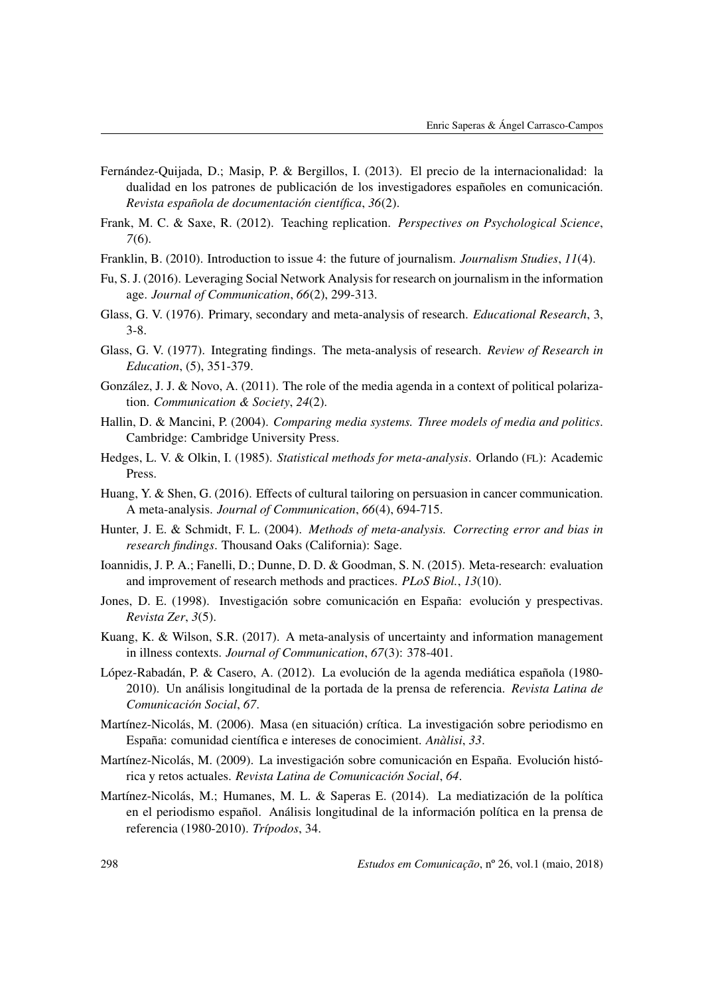- Fernández-Quijada, D.; Masip, P. & Bergillos, I. (2013). El precio de la internacionalidad: la dualidad en los patrones de publicación de los investigadores españoles en comunicación. *Revista española de documentación científica*, *36*(2).
- Frank, M. C. & Saxe, R. (2012). Teaching replication. *Perspectives on Psychological Science*, *7*(6).
- Franklin, B. (2010). Introduction to issue 4: the future of journalism. *Journalism Studies*, *11*(4).
- Fu, S. J. (2016). Leveraging Social Network Analysis for research on journalism in the information age. *Journal of Communication*, *66*(2), 299-313.
- Glass, G. V. (1976). Primary, secondary and meta-analysis of research. *Educational Research*, 3, 3-8.
- Glass, G. V. (1977). Integrating findings. The meta-analysis of research. *Review of Research in Education*, (5), 351-379.
- González, J. J. & Novo, A. (2011). The role of the media agenda in a context of political polarization. *Communication & Society*, *24*(2).
- Hallin, D. & Mancini, P. (2004). *Comparing media systems. Three models of media and politics*. Cambridge: Cambridge University Press.
- Hedges, L. V. & Olkin, I. (1985). *Statistical methods for meta-analysis*. Orlando (FL): Academic Press.
- Huang, Y. & Shen, G. (2016). Effects of cultural tailoring on persuasion in cancer communication. A meta-analysis. *Journal of Communication*, *66*(4), 694-715.
- Hunter, J. E. & Schmidt, F. L. (2004). *Methods of meta-analysis. Correcting error and bias in research findings*. Thousand Oaks (California): Sage.
- Ioannidis, J. P. A.; Fanelli, D.; Dunne, D. D. & Goodman, S. N. (2015). Meta-research: evaluation and improvement of research methods and practices. *PLoS Biol.*, *13*(10).
- Jones, D. E. (1998). Investigación sobre comunicación en España: evolución y prespectivas. *Revista Zer*, *3*(5).
- Kuang, K. & Wilson, S.R. (2017). A meta-analysis of uncertainty and information management in illness contexts. *Journal of Communication*, *67*(3): 378-401.
- López-Rabadán, P. & Casero, A. (2012). La evolución de la agenda mediática española (1980- 2010). Un análisis longitudinal de la portada de la prensa de referencia. *Revista Latina de Comunicación Social*, *67*.
- Martínez-Nicolás, M. (2006). Masa (en situación) crítica. La investigación sobre periodismo en España: comunidad científica e intereses de conocimient. *Anàlisi*, *33*.
- Martínez-Nicolás, M. (2009). La investigación sobre comunicación en España. Evolución histórica y retos actuales. *Revista Latina de Comunicación Social*, *64*.
- Martínez-Nicolás, M.; Humanes, M. L. & Saperas E. (2014). La mediatización de la política en el periodismo español. Análisis longitudinal de la información política en la prensa de referencia (1980-2010). *Trípodos*, 34.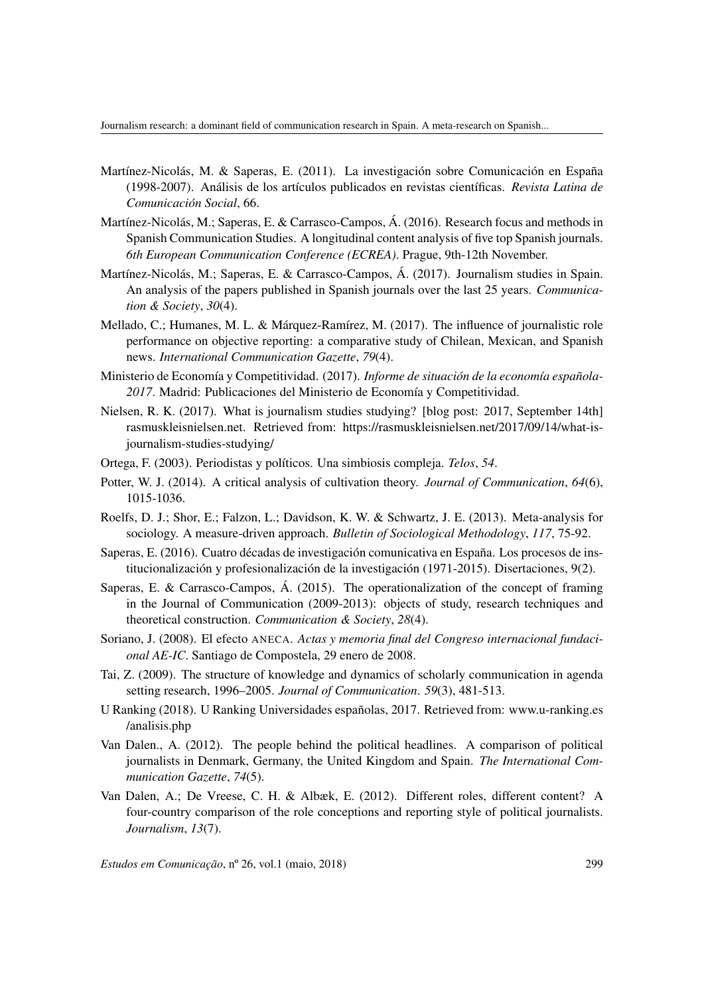Journalism research: a dominant field of communication research in Spain. A meta-research on Spanish...

- Martínez-Nicolás, M. & Saperas, E. (2011). La investigación sobre Comunicación en España (1998-2007). Análisis de los artículos publicados en revistas científicas. *Revista Latina de Comunicación Social*, 66.
- Martínez-Nicolás, M.; Saperas, E. & Carrasco-Campos, Á. (2016). Research focus and methods in Spanish Communication Studies. A longitudinal content analysis of five top Spanish journals. *6th European Communication Conference (ECREA)*. Prague, 9th-12th November.
- Martínez-Nicolás, M.; Saperas, E. & Carrasco-Campos, Á. (2017). Journalism studies in Spain. An analysis of the papers published in Spanish journals over the last 25 years. *Communication & Society*, *30*(4).
- Mellado, C.; Humanes, M. L. & Márquez-Ramírez, M. (2017). The influence of journalistic role performance on objective reporting: a comparative study of Chilean, Mexican, and Spanish news. *International Communication Gazette*, *79*(4).
- Ministerio de Economía y Competitividad. (2017). *Informe de situación de la economía española-2017*. Madrid: Publicaciones del Ministerio de Economía y Competitividad.
- Nielsen, R. K. (2017). What is journalism studies studying? [blog post: 2017, September 14th] rasmuskleisnielsen.net. Retrieved from: [https://rasmuskleisnielsen.net/2017/09/14/what-is](https://rasmuskleisnielsen.net/2017/09/14/what-is-journalism-studies-studying/)[journalism-studies-studying/](https://rasmuskleisnielsen.net/2017/09/14/what-is-journalism-studies-studying/)
- Ortega, F. (2003). Periodistas y políticos. Una simbiosis compleja. *Telos*, *54*.
- Potter, W. J. (2014). A critical analysis of cultivation theory. *Journal of Communication*, *64*(6), 1015-1036.
- Roelfs, D. J.; Shor, E.; Falzon, L.; Davidson, K. W. & Schwartz, J. E. (2013). Meta-analysis for sociology. A measure-driven approach. *Bulletin of Sociological Methodology*, *117*, 75-92.
- Saperas, E. (2016). Cuatro décadas de investigación comunicativa en España. Los procesos de institucionalización y profesionalización de la investigación (1971-2015). Disertaciones, 9(2).
- Saperas, E. & Carrasco-Campos, Á. (2015). The operationalization of the concept of framing in the Journal of Communication (2009-2013): objects of study, research techniques and theoretical construction. *Communication & Society*, *28*(4).
- Soriano, J. (2008). El efecto ANECA. *Actas y memoria final del Congreso internacional fundacional AE-IC*. Santiago de Compostela, 29 enero de 2008.
- Tai, Z. (2009). The structure of knowledge and dynamics of scholarly communication in agenda setting research, 1996–2005. *Journal of Communication*. *59*(3), 481-513.
- U Ranking (2018). U Ranking Universidades españolas, 2017. Retrieved from: [www.u-ranking.es](http://www.u-ranking.es/analisis.php) [/analisis.php](http://www.u-ranking.es/analisis.php)
- Van Dalen., A. (2012). The people behind the political headlines. A comparison of political journalists in Denmark, Germany, the United Kingdom and Spain. *The International Communication Gazette*, *74*(5).
- Van Dalen, A.; De Vreese, C. H. & Albæk, E. (2012). Different roles, different content? A four-country comparison of the role conceptions and reporting style of political journalists. *Journalism*, *13*(7).